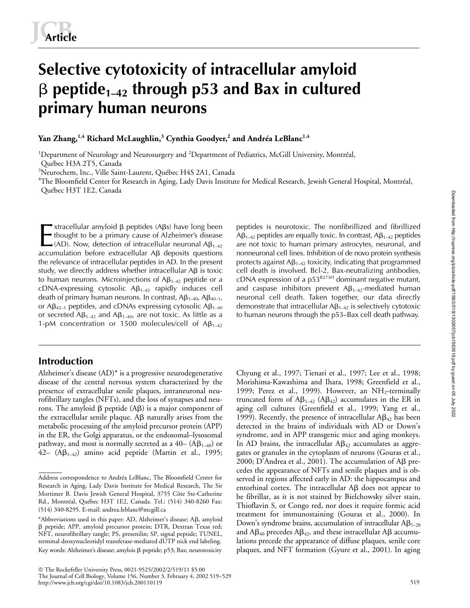# **Selective cytotoxicity of intracellular amyloid** - **peptide1–42 through p53 and Bax in cultured primary human neurons**

# **Yan Zhang,1,4 Richard McLaughlin,3 Cynthia Goodyer,<sup>2</sup> and Andréa LeBlanc1,4**

<sup>1</sup>Department of Neurology and Neurosurgery and <sup>2</sup>Department of Pediatrics, McGill University, Montréal, Québec H3A 2T5, Canada

3 Neurochem, Inc., Ville Saint-Laurent, Québec H4S 2A1, Canada

<sup>4</sup>The Bloomfield Center for Research in Aging, Lady Davis Institute for Medical Research, Jewish General Hospital, Montréal, Québec H3T 1E2, Canada

xtracellular amyloid β peptides (Aβs) have long been thought to be a primary cause of Alzheimer's disease (AD). Now, detection of intracellular neuronal  $AB_{1-42}$ accumulation before extracellular A<sub>B</sub> deposits questions the relevance of intracellular peptides in AD. In the present study, we directly address whether intracellular A $\beta$  is toxic to human neurons. Microinjections of A $\beta_{1-42}$  peptide or a  $\text{cDNA-expressing cytosolic } \text{A}\beta_{1\text{-}42}$  rapidly induces cell death of primary human neurons. In contrast,  $AB_{1-40}$ ,  $AB_{40-1}$ , or A $\beta_{42-1}$  peptides, and cDNAs expressing cytosolic A $\beta_{1-40}$ or secreted A $\beta_{1-42}$  and A $\beta_{1-40}$ , are not toxic. As little as a 1-pM concentration or 1500 molecules/cell of  $AB_{1-42}$ Extracellular amyloid β peptides (Aβs) have long been peptides is neurotoxic. The nonfibrillized and fibrillized<br>thought to be a primary cause of Alzheimer's disease  $(A\beta_{1-42}$  peptides are equally toxic. In contrast,

# **Introduction**

Alzheimer's disease (AD)\* is a progressive neurodegenerative disease of the central nervous system characterized by the presence of extracellular senile plaques, intraneuronal neurofibrillary tangles (NFTs), and the loss of synapses and neurons. The amyloid  $\beta$  peptide (A $\beta$ ) is a major component of the extracellular senile plaque.  $A\beta$  naturally arises from the metabolic processing of the amyloid precursor protein (APP) in the ER, the Golgi apparatus, or the endosomal–lysosomal pathway, and most is normally secreted as a 40–  $(A\beta_{1-40})$  or  $42-$  (A $\beta_{1-42}$ ) amino acid peptide (Martin et al., 1995;

 The Rockefeller University Press, 0021-9525/2002/2/519/11 \$5.00 The Journal of Cell Biology, Volume 156, Number 3, February 4, 2002 519–529 http://www.jcb.org/cgi/doi/10.1083/jcb.200110119

 $\mathsf{AB}_{1\text{-}42}$  peptides are equally toxic. In contrast,  $\mathsf{AB}_{1\text{-}42}$  peptides are not toxic to human primary astrocytes, neuronal, and nonneuronal cell lines. Inhibition of de novo protein synthesis protects against A $\beta_{1\!-\!42}$  toxicity, indicating that programmed cell death is involved. Bcl-2, Bax-neutralizing antibodies, cDNA expression of a  $p53^{R273H}$  dominant negative mutant, and caspase inhibitors prevent A $\beta_{1\!-\!42}$ -mediated human neuronal cell death. Taken together, our data directly demonstrate that intracellular  $A\beta_{1-42}$  is selectively cytotoxic to human neurons through the p53–Bax cell death pathway.

Chyung et al., 1997; Tienari et al., 1997; Lee et al., 1998; Morishima-Kawashima and Ihara, 1998; Greenfield et al., 1999; Perez et al., 1999). However, an  $NH<sub>2</sub>$ -terminally truncated form of  $A\beta_{1-42}$  ( $A\beta_{42}$ ) accumulates in the ER in aging cell cultures (Greenfield et al., 1999; Yang et al., 1999). Recently, the presence of intracellular  $A\beta_{42}$  has been detected in the brains of individuals with AD or Down's syndrome, and in APP transgenic mice and aging monkeys. In AD brains, the intracellular  $AB_{42}$  accumulates as aggregates or granules in the cytoplasm of neurons (Gouras et al., 2000; D'Andrea et al., 2001). The accumulation of A $\beta$  precedes the appearance of NFTs and senile plaques and is observed in regions affected early in AD: the hippocampus and entorhinal cortex. The intracellular  $\mathsf{A}\mathsf{B}$  does not appear to be fibrillar, as it is not stained by Bielchowsky silver stain, Thioflavin S, or Congo red, nor does it require formic acid treatment for immunostaining (Gouras et al., 2000). In Down's syndrome brains, accumulation of intracellular  $A\beta_{1-28}$ and A $\beta_{40}$  precedes A $\beta_{42}$ , and these intracellular A $\beta$  accumulations precede the appearance of diffuse plaques, senile core plaques, and NFT formation (Gyure et al., 2001). In aging

Address correspondence to Andréa LeBlanc, The Bloomfield Center for Research in Aging, Lady Davis Institute for Medical Research, The Sir Mortimer B. Davis Jewish General Hospital, 3755 Côte Ste-Catherine Rd., Montréal, Québec H3T 1E2, Canada. Tel.: (514) 340-8260 Fax: (514) 340-8295. E-mail: andrea.leblanc@mcgill.ca

<sup>\*</sup>Abbreviations used in this paper: AD, Alzheimer's disease; Aß, amyloid - peptide; APP, amyloid precursor protein; DTR, Dextran Texas red; NFT, neurofibrillary tangle; PS, presenilin; SP, signal peptide; TUNEL, terminal deoxynucleotidyl transferase-mediated dUTP nick end labeling. Key words: Alzheimer's disease; amylois β peptide; p53; Bax; neurotoxicity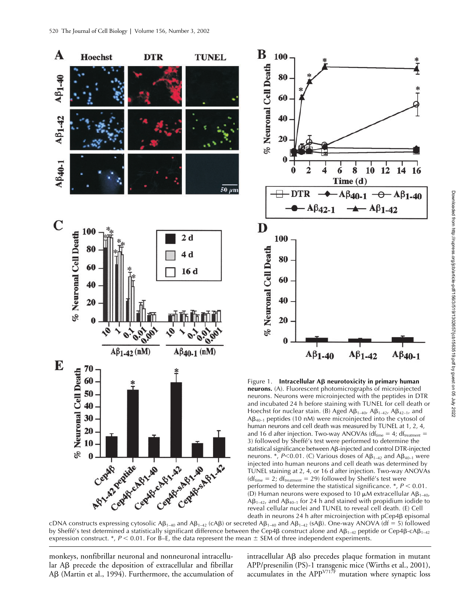





cDNA constructs expressing cytosolic  $AB_{1-40}$  and  $AB_{1-42}$  (cA $\beta$ ) or secreted  $AB_{1-40}$  and  $AB_{1-42}$  (sA $\beta$ ). One-way ANOVA (df = 5) followed by Sheffé's test determined a statistically significant difference between the Cep4β construct alone and Aβ1-42 peptide or Cep4β-cAβ1-42 expression construct.  $^*$ ,  $P < 0.01$ . For B–E, the data represent the mean  $\pm$  SEM of three independent experiments.

monkeys, nonfibrillar neuronal and nonneuronal intracellular A $\beta$  precede the deposition of extracellular and fibrillar Aß (Martin et al., 1994). Furthermore, the accumulation of intracellular Aß also precedes plaque formation in mutant APP/presenilin (PS)-1 transgenic mice (Wirths et al., 2001), accumulates in the APP $^{V71\bar{T}F}$  mutation where synaptic loss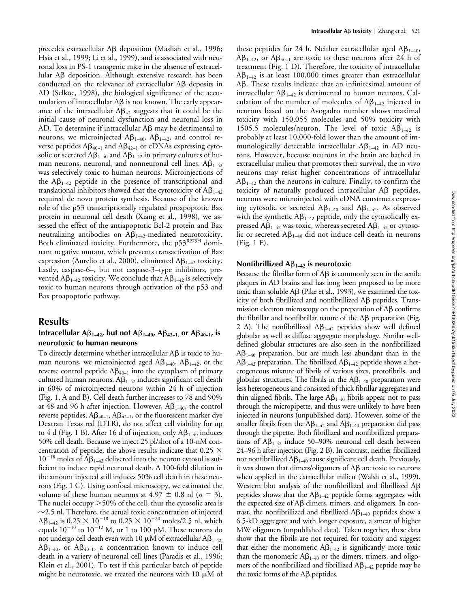precedes extracellular Aß deposition (Masliah et al., 1996; Hsia et al., 1999; Li et al., 1999), and is associated with neuronal loss in PS-1 transgenic mice in the absence of extracellular Aβ deposition. Although extensive research has been conducted on the relevance of extracellular  $A\beta$  deposits in AD (Selkoe, 1998), the biological significance of the accumulation of intracellular A $\beta$  is not known. The early appearance of the intracellular A $\beta_{42}$  suggests that it could be the initial cause of neuronal dysfunction and neuronal loss in  $AD.$  To determine if intracellular A $\beta$  may be detrimental to neurons, we microinjected  $A\beta_{1-40}$ ,  $A\beta_{1-42}$ , and control reverse peptides  $A\beta_{40-1}$  and  $A\beta_{42-1}$  or cDNAs expressing cytosolic or secreted A $\beta_{1\!-\!40}$  and A $\beta_{1\!-\!42}$  in primary cultures of human neurons, neuronal, and nonneuronal cell lines.  $A\beta_{1\rightarrow 2}$ was selectively toxic to human neurons. Microinjections of the  $A\beta_{1-42}$  peptide in the presence of transcriptional and translational inhibitors showed that the cytotoxicity of  $A\beta_{1\!-\!42}$ required de novo protein synthesis. Because of the known role of the p53 transcriptionally regulated proapoptotic Bax protein in neuronal cell death (Xiang et al., 1998), we assessed the effect of the antiapoptotic Bcl-2 protein and Bax neutralizing antibodies on  $A\beta_{1-42}$ -mediated neurotoxicity. Both eliminated toxicity. Furthermore, the p53<sup>R273H</sup> dominant negative mutant, which prevents transactivation of Bax expression (Aurelio et al., 2000), eliminated  $A\beta_{1\rightarrow 2}$  toxicity. Lastly, caspase-6–, but not caspase-3–type inhibitors, prevented A $\beta_{1\!-\!42}$  toxicity. We conclude that A $\beta_{1\!-\!42}$  is selectively toxic to human neurons through activation of the p53 and Bax proapoptotic pathway.

# **Results**

## Intracellular  $\mathsf{AB}_{1-42}$ , but not  $\mathsf{AB}_{1-40}$ ,  $\mathsf{AB}_{42-1}$ , or  $\mathsf{AB}_{40-1}$ , is **neurotoxic to human neurons**

To directly determine whether intracellular A $\beta$  is toxic to human neurons, we microinjected aged  $A\beta_{1-40}$ ,  $A\beta_{1-42}$ , or the reverse control peptide  $A\beta_{40-1}$  into the cytoplasm of primary cultured human neurons. A $\beta_{1\!-\!42}$  induces significant cell death in 60% of microinjected neurons within 24 h of injection (Fig. 1, A and B). Cell death further increases to 78 and 90% at 48 and 96 h after injection. However,  $A\beta_{1-40}$ , the control reverse peptides, A $\beta_{40-1}$ , A $\beta_{42-1}$ , or the fluorescent marker dye Dextran Texas red (DTR), do not affect cell viability for up to 4 d (Fig. 1 B). After 16 d of injection, only  $A\beta_{1-40}$  induces 50% cell death. Because we inject 25 pl/shot of a 10-nM concentration of peptide, the above results indicate that  $0.25 \times$  $10^{-18}$  moles of A $\beta_{1-42}$  delivered into the neuron cytosol is sufficient to induce rapid neuronal death. A 100-fold dilution in the amount injected still induces 50% cell death in these neurons (Fig. 1 C). Using confocal microscopy, we estimated the volume of these human neurons at  $4.97 \pm 0.8$  nl ( $n = 3$ ). The nuclei occupy  $>50\%$  of the cell, thus the cytosolic area is  $\sim$ 2.5 nl. Therefore, the actual toxic concentration of injected  $\text{AB}_{1\text{-}42}$  is  $0.25 \times 10^{-18}$  to  $0.25 \times 10^{-20}$  moles/2.5 nl, which equals  $10^{-10}$  to  $10^{-12}$  M, or 1 to 100 pM. These neurons do not undergo cell death even with 10  $\mu$ M of extracellular A $\beta_{1\!-\!42,}$  $AB_{1-40}$ , or  $AB_{40-1}$ , a concentration known to induce cell death in a variety of neuronal cell lines (Paradis et al., 1996; Klein et al., 2001). To test if this particular batch of peptide might be neurotoxic, we treated the neurons with 10  $\mu$ M of

these peptides for 24 h. Neither extracellular aged  $A\beta_{1-40}$ ,  $A\beta_{1-42}$ , or  $A\beta_{40-1}$  are toxic to these neurons after 24 h of treatment (Fig. 1 D). Therefore, the toxicity of intracellular  $\mathsf{A}\mathsf{B}_{1\text{-}42}$  is at least 100,000 times greater than extracellular Aβ. These results indicate that an infinitesimal amount of intracellular A $\beta_{1\!-\!42}$  is detrimental to human neurons. Calculation of the number of molecules of  $A\beta_{1-42}$  injected in neurons based on the Avogadro number shows maximal toxicity with 150,055 molecules and 50% toxicity with 1505.5 molecules/neuron. The level of toxic  $A\beta_{1-42}$  is probably at least 10,000-fold lower than the amount of immunologically detectable intracellular  $A\beta_{1\text{--}42}$  in AD neurons. However, because neurons in the brain are bathed in extracellular milieu that promotes their survival, the in vivo neurons may resist higher concentrations of intracellular  $A\beta_{1\text{--}42}$  than the neurons in culture. Finally, to confirm the toxicity of naturally produced intracellular Aß peptides, neurons were microinjected with cDNA constructs expressing cytosolic or secreted  $A\beta_{1-40}$  and  $A\beta_{1-42}$ . As observed with the synthetic  $A\beta_{1\rightarrow 2}$  peptide, only the cytosolically expressed A $\beta_{1-42}$  was toxic, whereas secreted A $\beta_{1-42}$  or cytosolic or secreted A $\beta_{1-40}$  did not induce cell death in neurons (Fig. 1 E).

## **Nonfibrillized A**β<sub>1-42</sub> is neurotoxic

Because the fibrillar form of  $\mathsf{AB}$  is commonly seen in the senile plaques in AD brains and has long been proposed to be more toxic than soluble A $\beta$  (Pike et al., 1993), we examined the toxicity of both fibrillized and nonfibrillized Aß peptides. Transmission electron microscopy on the preparation of  $A\beta$  confirms the fibrillar and nonfibrillar nature of the Aß preparation (Fig. 2 A). The nonfibrillized  $A\beta_{1-42}$  peptides show well defined globular as well as diffuse aggregate morphology. Similar welldefined globular structures are also seen in the nonfibrillized  $\mathsf{A}\mathsf{B}_{1\text{-}40}$  preparation, but are much less abundant than in the  $\mathsf{A}\mathsf{B}_{1\text{-}42}$  preparation. The fibrillized  $\mathsf{A}\mathsf{B}_{1\text{-}42}$  peptide shows a heterogeneous mixture of fibrils of various sizes, protofibrils, and globular structures. The fibrils in the A $\beta_{1\!-\!40}$  preparation were less heterogeneous and consisted of thick fibrillar aggregates and thin aligned fibrils. The large  $A\beta_{1\!-\!40}$  fibrils appear not to pass through the micropipette, and thus were unlikely to have been injected in neurons (unpublished data). However, some of the smaller fibrils from the A $\beta_{1\!-\!42}$  and A $\beta_{1\!-\!40}$  preparation did pass through the pipette. Both fibrillized and nonfibrillized preparations of  $A\beta_{1\rightarrow 2}$  induce 50–90% neuronal cell death between 24–96 h after injection (Fig. 2 B). In contrast, neither fibrillized nor nonfibrillized A $\beta_{1\rightarrow 0}$  cause significant cell death. Previously, it was shown that dimers/oligomers of  $A\beta$  are toxic to neurons when applied in the extracellular milieu (Walsh et al., 1999). Western blot analysis of the nonfibrillized and fibrillized Aß peptides shows that the  $A\beta_{1\rightarrow 2}$  peptide forms aggregates with the expected size of Aß dimers, trimers, and oligomers. In contrast, the nonfibrillized and fibrillized  $AB_{1-40}$  peptides show a 6.5-kD aggregate and with longer exposure, a smear of higher MW oligomers (unpublished data). Taken together, these data show that the fibrils are not required for toxicity and suggest that either the monomeric  $A\beta_{1-42}$  is significantly more toxic than the monomeric  $A\beta_{1-40}$  or the dimers, trimers, and oligomers of the nonfibrillized and fibrillized  $A\beta_{1\rightarrow 2}$  peptide may be the toxic forms of the  $\mathsf{A}\mathsf{B}$  peptides.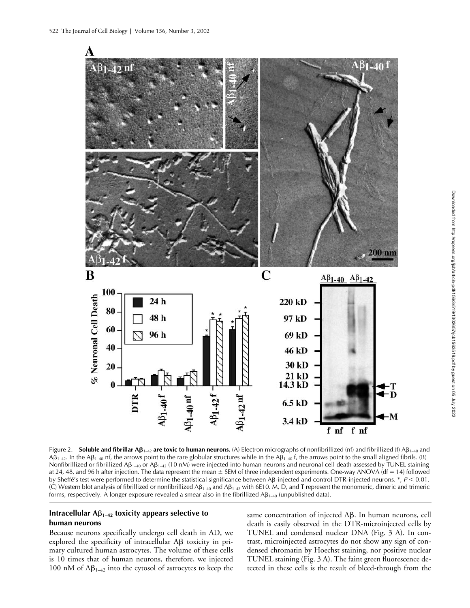

Downloaded from http://rupress.org/jcb/article-pdf/156/3/519/1302657/jcb1563519.pdf by guest on 05 July 2022 Downloaded from http://rupress.org/jcb/article-pdf/156/3/519/1302657/jcb1563519.pdf by guest on 05 July 2022

Figure 2. **Soluble and fibrillar Aß<sub>1–42</sub> are toxic to human neurons.** (A) Electron micrographs of nonfibrillized (nf) and fibrillized (f) Aβ<sub>1–40</sub> and  $\mathsf{AB}_{1\rightarrow 2}$ . In the  $\mathsf{AB}_{1\rightarrow 0}$  nf, the arrows point to the rare globular structures while in the  $\mathsf{AB}_{1\rightarrow 0}$  f, the arrows point to the small aligned fibrils. (B) Nonfibrillized or fibrillized A $\beta_{1\to 40}$  or A $\beta_{1\to 42}$  (10 nM) were injected into human neurons and neuronal cell death assessed by TUNEL staining at 24, 48, and 96 h after injection. The data represent the mean  $\pm$  SEM of three independent experiments. One-way ANOVA (df = 14) followed by Sheffé's test were performed to determine the statistical significance between Aβ-injected and control DTR-injected neurons. \*, P < 0.01. (C) Western blot analysis of fibrillized or nonfibrillized A $\beta_{1\to 40}$  and A $\beta_{1\to 2}$  with 6E10. M, D, and T represent the monomeric, dimeric and trimeric forms, respectively. A longer exposure revealed a smear also in the fibrillized A $\beta_{1\to 40}$  (unpublished data).

# Intracellular  $\mathsf{AB}_{1-42}$  toxicity appears selective to **human neurons**

Because neurons specifically undergo cell death in AD, we  $exp$  lored the specificity of intracellular  $\mathsf{A}\mathsf{B}$  toxicity in primary cultured human astrocytes. The volume of these cells is 10 times that of human neurons, therefore, we injected 100 nM of  $A\beta_{1-42}$  into the cytosol of astrocytes to keep the

same concentration of injected Aß. In human neurons, cell death is easily observed in the DTR-microinjected cells by TUNEL and condensed nuclear DNA (Fig. 3 A). In contrast, microinjected astrocytes do not show any sign of condensed chromatin by Hoechst staining, nor positive nuclear TUNEL staining (Fig. 3 A). The faint green fluorescence detected in these cells is the result of bleed-through from the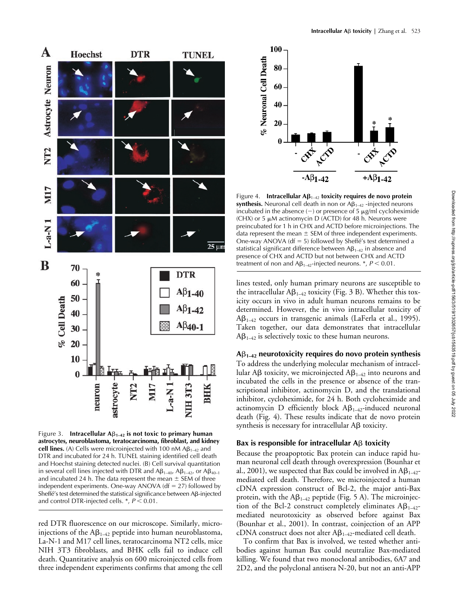

Figure 3. **Intracellular A** $\beta_{1-42}$  is not toxic to primary human **astrocytes, neuroblastoma, teratocarcinoma, fibroblast, and kidney cell lines.** (A) Cells were microinjected with 100 nM  $AB_{1-42}$  and DTR and incubated for 24 h. TUNEL staining identified cell death and Hoechst staining detected nuclei. (B) Cell survival quantitation in several cell lines injected with DTR and  $\mathsf{AB}_{1\text{-}40}$ ,  $\mathsf{AB}_{1\text{-}42}$ , or  $\mathsf{AB}_{40\text{-}1}$ and incubated 24 h. The data represent the mean  $\pm$  SEM of three independent experiments. One-way ANOVA ( $df = 27$ ) followed by Sheffé's test determined the statistical significance between Aß-injected and control DTR-injected cells.  $*$ ,  $P < 0.01$ .

red DTR fluorescence on our microscope. Similarly, microinjections of the A $\beta_{1\rightarrow 2}$  peptide into human neuroblastoma, La-N-1 and M17 cell lines, teratocarcinoma NT2 cells, mice NIH 3T3 fibroblasts, and BHK cells fail to induce cell death. Quantitative analysis on 600 microinjected cells from three independent experiments confirms that among the cell



Figure 4. **Intracellular A** $\beta_{1-42}$  **toxicity requires de novo protein**  $\mathsf{synthesis}.$  Neuronal cell death in non or A $\beta_{1\text{--}42}$  -injected neurons incubated in the absence  $(-)$  or presence of 5  $\mu$ g/ml cycloheximide (CHX) or 5  $\mu$ M actinomycin D (ACTD) for 48 h. Neurons were preincubated for 1 h in CHX and ACTD before microinjections. The data represent the mean  $\pm$  SEM of three independent experiments. One-way ANOVA ( $df = 5$ ) followed by Sheffé's test determined a statistical significant difference between A $\beta_{1\text{--}42}$  in absence and presence of CHX and ACTD but not between CHX and ACTD treatment of non and A $\beta_{1\rightarrow 2}$ -injected neurons.  $^{*}$ ,  $P$   $<$  0.01.

lines tested, only human primary neurons are susceptible to the intracellular  $A\beta_{1-42}$  toxicity (Fig. 3 B). Whether this toxicity occurs in vivo in adult human neurons remains to be determined. However, the in vivo intracellular toxicity of  $\mathsf{A}\mathsf{B}_{1-42}$  occurs in transgenic animals (LaFerla et al., 1995). Taken together, our data demonstrates that intracellular  $\mathsf{A}\mathsf{B}_{1-42}$  is selectively toxic to these human neurons.

## **A**-**1–42 neurotoxicity requires do novo protein synthesis**

To address the underlying molecular mechanism of intracellular A $\beta$  toxicity, we microinjected A $\beta_{1-42}$  into neurons and incubated the cells in the presence or absence of the transcriptional inhibitor, actinomycin D, and the translational inhibitor, cycloheximide, for 24 h. Both cycloheximide and actinomycin D efficiently block  $A\beta_{1\rightarrow 2}$ -induced neuronal death (Fig. 4). These results indicate that de novo protein  $synthesis$  is necessary for intracellular A $\beta$  toxicity.

## Bax is responsible for intracellular A<sub>B</sub> toxicity

Because the proapoptotic Bax protein can induce rapid human neuronal cell death through overexpression (Bounhar et al., 2001), we suspected that Bax could be involved in A $\beta_{1\text{--}42}$ mediated cell death. Therefore, we microinjected a human cDNA expression construct of Bcl-2, the major anti-Bax protein, with the  $A\beta_{1-42}$  peptide (Fig. 5 A). The microinjection of the Bcl-2 construct completely eliminates  $A\beta_{1-42}$ mediated neurotoxicity as observed before against Bax (Bounhar et al., 2001). In contrast, coinjection of an APP cDNA construct does not alter  $A\beta_{1-42}$ -mediated cell death.

To confirm that Bax is involved, we tested whether antibodies against human Bax could neutralize Bax-mediated killing. We found that two monoclonal antibodies, 6A7 and 2D2, and the polyclonal antisera N-20, but not an anti-APP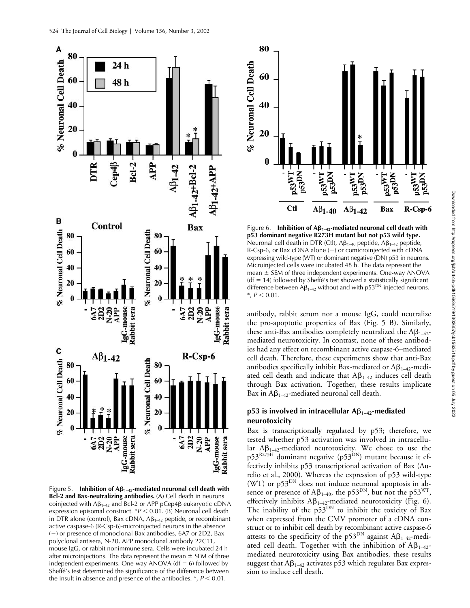

Figure 5. **Inhibition of**  $A\beta_{1-42}$ **-mediated neuronal cell death with Bcl-2 and Bax-neutralizing antibodies.** (A) Cell death in neurons coinjected with  $A\beta_{1-42}$  and Bcl-2 or APP pCep4 $\beta$  eukaryotic cDNA expression episomal construct. \**P* < 0.01. (B) Neuronal cell death in DTR alone (control), Bax cDNA,  $AB_{1-42}$  peptide, or recombinant active caspase-6 (R-Csp-6)-microinjected neurons in the absence  $(-)$  or presence of monoclonal Bax antibodies, 6A7 or 2D2, Bax polyclonal antisera, N-20, APP monoclonal antibody 22C11, mouse IgG, or rabbit nonimmune sera. Cells were incubated 24 h after microinjections. The data represent the mean  $\pm$  SEM of three independent experiments. One-way ANOVA ( $df = 6$ ) followed by Sheffé's test determined the significance of the difference between the insult in absence and presence of the antibodies.  $\ast$ ,  $P < 0.01$ .



Figure 6. **Inhibition of**  $A\beta_{1-42}$ **-mediated neuronal cell death with p53 dominant negative R273H mutant but not p53 wild type.** Neuronal cell death in DTR (Ctl),  $\mathsf{AB}_{1-40}$  peptide,  $\mathsf{AB}_{1-42}$  peptide, R-Csp-6, or Bax cDNA alone  $(-)$  or comicroinjected with cDNA expressing wild-type (WT) or dominant negative (DN) p53 in neurons. Microinjected cells were incubated 48 h. The data represent the mean  $\pm$  SEM of three independent experiments. One-way ANOVA  $(df = 14)$  followed by Sheffé's test showed a statistically significant difference between  $AB_{1-42}$  without and with p53<sup>DN</sup>-injected neurons.  $*, P < 0.01.$ 

antibody, rabbit serum nor a mouse IgG, could neutralize the pro-apoptotic properties of Bax (Fig. 5 B). Similarly, these anti-Bax antibodies completely neutralized the  $A\beta_{1-42}$ mediated neurotoxicity. In contrast, none of these antibodies had any effect on recombinant active caspase-6–mediated cell death. Therefore, these experiments show that anti-Bax antibodies specifically inhibit Bax-mediated or A $\beta_{1\!-\!42}$ -mediated cell death and indicate that  $A\beta_{1-42}$  induces cell death through Bax activation. Together, these results implicate Bax in  $A\beta_{1-42}$ -mediated neuronal cell death.

# p53 is involved in intracellular A<sub>B1–42</sub>-mediated **neurotoxicity**

Bax is transcriptionally regulated by p53; therefore, we tested whether p53 activation was involved in intracellular  $AB_{1-42}$ -mediated neurotoxicity. We chose to use the  $p53^{R273H}$  dominant negative ( $p53^{DN}$ ) mutant because it effectively inhibits p53 transcriptional activation of Bax (Aurelio et al., 2000). Whereas the expression of p53 wild-type (WT) or  $p53^{DN}$  does not induce neuronal apoptosis in absence or presence of A $\beta_{1-40}$ , the p53 $^{\text{DN}}$ , but not the p53 $^{\text{WT}}$ , effectively inhibits  $A\beta_{1-42}$ -mediated neurotoxicity (Fig. 6). The inability of the  $p53^{DN}$  to inhibit the toxicity of Bax when expressed from the CMV promoter of a cDNA construct or to inhibit cell death by recombinant active caspase-6 attests to the specificity of the p53<sup>DN</sup> against A $\beta_{1-42}$ -mediated cell death. Together with the inhibition of  $A\beta_{1-42}$ mediated neurotoxicity using Bax antibodies, these results suggest that  $A\beta_{1\rightarrow 2}$  activates p53 which regulates Bax expression to induce cell death.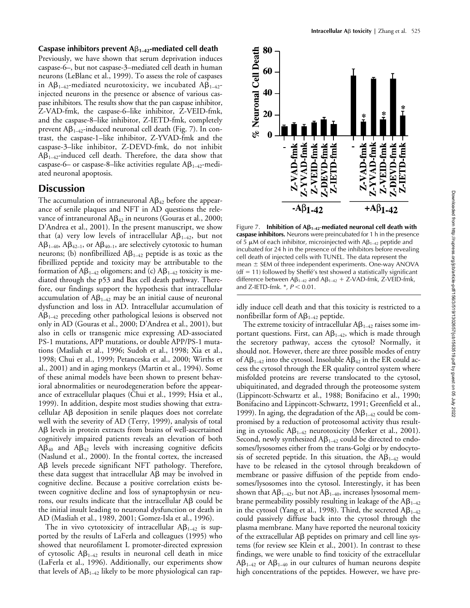Previously, we have shown that serum deprivation induces caspase-6–, but not caspase-3–mediated cell death in human neurons (LeBlanc et al., 1999). To assess the role of caspases in A $\beta_{1-42}$ -mediated neurotoxicity, we incubated A $\beta_{1-42}$ injected neurons in the presence or absence of various caspase inhibitors. The results show that the pan caspase inhibitor, Z-VAD-fmk, the caspase-6–like inhibitor, Z-VEID-fmk, and the caspase-8–like inhibitor, Z-IETD-fmk, completely prevent A $\beta_{1\text{--}42}$ -induced neuronal cell death (Fig. 7). In contrast, the caspase-1–like inhibitor, Z-YVAD-fmk and the caspase-3–like inhibitor, Z-DEVD-fmk, do not inhibit  $A\beta_{1-42}$ -induced cell death. Therefore, the data show that caspase-6– or caspase-8–like activities regulate  $A\beta_{1\rightarrow 2}$ -mediated neuronal apoptosis.

# **Discussion**

The accumulation of intraneuronal A $\beta_{42}$  before the appearance of senile plaques and NFT in AD questions the relevance of intraneuronal A $\beta_{42}$  in neurons (Gouras et al., 2000; D'Andrea et al., 2001). In the present manuscript, we show that (a) very low levels of intracellular  $A\beta_{1-42}$ , but not  $A\beta_{1-40}, A\beta_{42-1}, \text{ or } A\beta_{40-1}, \text{ are selectively cytotoxic to human}$ neurons; (b) nonfibrillized  $A\beta_{1-42}$  peptide is as toxic as the fibrillized peptide and toxicity may be attributable to the formation of A $\beta_{1-42}$  oligomers; and (c) A $\beta_{1-42}$  toxicity is mediated through the p53 and Bax cell death pathway. Therefore, our findings support the hypothesis that intracellular accumulation of  $A\beta_{1-42}$  may be an initial cause of neuronal dysfunction and loss in AD. Intracellular accumulation of  $\mathsf{A}\mathsf{B}_{1\text{-}42}$  preceding other pathological lesions is observed not only in AD (Gouras et al., 2000; D'Andrea et al., 2001), but also in cells or transgenic mice expressing AD-associated PS-1 mutations, APP mutations, or double APP/PS-1 mutations (Masliah et al., 1996; Sudoh et al., 1998; Xia et al., 1998; Chui et al., 1999; Petanceska et al., 2000; Wirths et al., 2001) and in aging monkeys (Martin et al., 1994). Some of these animal models have been shown to present behavioral abnormalities or neurodegeneration before the appearance of extracellular plaques (Chui et al., 1999; Hsia et al., 1999). In addition, despite most studies showing that extracellular Aß deposition in senile plaques does not correlate well with the severity of AD (Terry, 1999), analysis of total AB levels in protein extracts from brains of well-ascertained cognitively impaired patients reveals an elevation of both  $AB_{40}$  and  $AB_{42}$  levels with increasing cognitive deficits (Naslund et al., 2000). In the frontal cortex, the increased Aß levels precede significant NFT pathology. Therefore, these data suggest that intracellular  $\mathsf{AB}$  may be involved in cognitive decline. Because a positive correlation exists between cognitive decline and loss of synaptophysin or neurons, our results indicate that the intracellular  $A\beta$  could be the initial insult leading to neuronal dysfunction or death in AD (Masliah et al., 1989, 2001; Gomez-Isla et al., 1996).

The in vivo cytotoxicity of intracellular  $A\beta_{1-42}$  is supported by the results of LaFerla and colleagues (1995) who showed that neurofilament L promoter-directed expression of cytosolic  $A\beta_{1-42}$  results in neuronal cell death in mice (LaFerla et al., 1996). Additionally, our experiments show that levels of A $\beta_{1\!-\!42}$  likely to be more physiological can rap-



Figure 7. **Inhibition of**  $\mathbf{A}\mathbf{\beta}_{1-42}$ **-mediated neuronal cell death with caspase inhibitors.** Neurons were preincubated for 1 h in the presence of 5  $\mu$ M of each inhibitor, microinjected with A $\beta_{1\rightarrow 2}$  peptide and incubated for 24 h in the presence of the inhibitors before revealing cell death of injected cells with TUNEL. The data represent the mean  $\pm$  SEM of three independent experiments. One-way ANOVA  $(df = 11)$  followed by Sheffé's test showed a statistically significant difference between  $A\beta_{1-42}$  and  $A\beta_{1-42}$  + Z-VAD-fmk, Z-VEID-fmk, and Z-IETD-fmk. \*,  $P < 0.01$ .

idly induce cell death and that this toxicity is restricted to a nonfibrillar form of  $A\beta_{1-42}$  peptide.

The extreme toxicity of intracellular  $A\beta_{1-42}$  raises some important questions. First, can  $A\beta_{1\text{--}42}$ , which is made through the secretory pathway, access the cytosol? Normally, it should not. However, there are three possible modes of entry of A $\beta_{1-42}$  into the cytosol. Insoluble A $\beta_{42}$  in the ER could access the cytosol through the ER quality control system where misfolded proteins are reverse translocated to the cytosol, ubiquitinated, and degraded through the proteosome system (Lippincott-Schwartz et al., 1988; Bonifacino et al., 1990; Bonifacino and Lippincott-Schwartz, 1991; Greenfield et al., 1999). In aging, the degradation of the  $A\beta_{1-42}$  could be compromised by a reduction of proteosomal activity thus resulting in cytosolic  $A\beta_{1-42}$  neurotoxicity (Merker et al., 2001). Second, newly synthesized  $A\beta_{1-42}$  could be directed to endosomes/lysosomes either from the trans-Golgi or by endocytosis of secreted peptide. In this situation, the  $A\beta_{1-42}$  would have to be released in the cytosol through breakdown of membrane or passive diffusion of the peptide from endosomes/lysosomes into the cytosol. Interestingly, it has been shown that A $\beta_{1-42}$ , but not A $\beta_{1-40}$ , increases lysosomal membrane permeability possibly resulting in leakage of the A $\beta_{1\!-\!42}$ in the cytosol (Yang et al., 1998). Third, the secreted  $A\beta_{1\!-\!42}$ could passively diffuse back into the cytosol through the plasma membrane. Many have reported the neuronal toxicity of the extracellular Aß peptides on primary and cell line systems (for review see Klein et al., 2001). In contrast to these findings, we were unable to find toxicity of the extracellular  $\mathsf{A}\mathsf{B}_{1\text{-}42}$  or  $\mathsf{A}\mathsf{B}_{1\text{-}40}$  in our cultures of human neurons despite high concentrations of the peptides. However, we have pre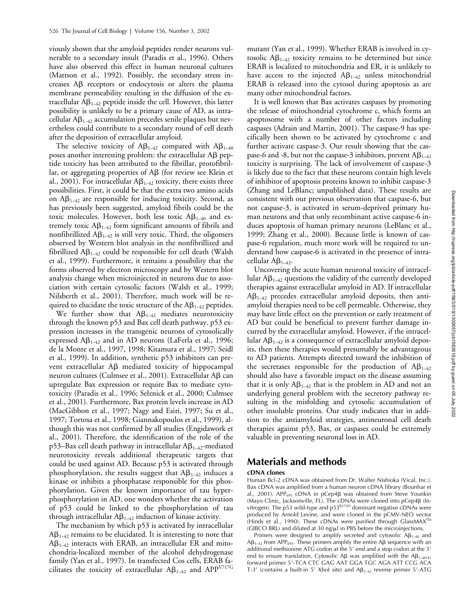viously shown that the amyloid peptides render neurons vulnerable to a secondary insult (Paradis et al., 1996). Others have also observed this effect in human neuronal cultures (Mattson et al., 1992). Possibly, the secondary stress in $c$ reases  $\text{A}\beta$  receptors or endocytosis or alters the plasma membrane permeability resulting in the diffusion of the extracellular A $\beta_{1\rightarrow 2}$  peptide inside the cell. However, this latter possibility is unlikely to be a primary cause of AD, as intracellular  $A\beta_{1-42}$  accumulation precedes senile plaques but nevertheless could contribute to a secondary round of cell death after the deposition of extracellular amyloid.

The selective toxicity of  $A\beta_{1-42}$  compared with  $A\beta_{1-40}$ poses another interesting problem: the extracellular  $\mathsf{A}\mathsf{B}$  peptide toxicity has been attributed to the fibrillar, protofibrillar, or aggregating properties of A $\beta$  (for review see Klein et al., 2001). For intracellular  $A\beta_{1\rightarrow 2}$  toxicity, there exists three possibilities. First, it could be that the extra two amino acids on  $A\beta_{1-42}$  are responsible for inducing toxicity. Second, as has previously been suggested, amyloid fibrils could be the toxic molecules. However, both less toxic  $A\beta_{1-40}$  and extremely toxic  $A\beta_{1-42}$  form significant amounts of fibrils and nonfibrillized  $A\beta_{1\rightarrow 2}$  is still very toxic. Third, the oligomers observed by Western blot analysis in the nonfibrillized and fibrillized A $\beta_{1-42}$  could be responsible for cell death (Walsh et al., 1999). Furthermore, it remains a possibility that the forms observed by electron microscopy and by Western blot analysis change when microinjected in neurons due to association with certain cytosolic factors (Walsh et al., 1999; Nilsberth et al., 2001). Therefore, much work will be required to elucidate the toxic structure of the  $A\beta_{1-42}$  peptides.

We further show that  $A\beta_{1-42}$  mediates neurotoxicity through the known p53 and Bax cell death pathway. p53 expression increases in the transgenic neurons of cytosolically expressed  $A\beta_{1-42}$  and in AD neurons (LaFerla et al., 1996; de la Monte et al., 1997, 1998; Kitamura et al., 1997; Seidl et al., 1999). In addition, synthetic p53 inhibitors can prevent extracellular Aß mediated toxicity of hippocampal neuron cultures (Culmsee et al., 2001). Extracellular A $\beta$  can upregulate Bax expression or require Bax to mediate cytotoxicity (Paradis et al., 1996; Selznick et al., 2000; Culmsee et al., 2001). Furthermore, Bax protein levels increase in AD (MacGibbon et al., 1997; Nagy and Esiri, 1997; Su et al., 1997; Tortosa et al., 1998; Giannakopoulos et al., 1999), although this was not confirmed by all studies (Engidawork et al., 2001). Therefore, the identification of the role of the p53–Bax cell death pathway in intracellular  $A\beta_{1-42}$ -mediated neurotoxicity reveals additional therapeutic targets that could be used against AD. Because p53 is activated through phosphorylation, the results suggest that  $A\beta_{1-42}$  induces a kinase or inhibits a phosphatase responsible for this phosphorylation. Given the known importance of tau hyperphosphorylation in AD, one wonders whether the activation of p53 could be linked to the phosphorylation of tau through intracellular  $A\beta_{1-42}$  induction of kinase activity.

The mechanism by which p53 is activated by intracellular  $\mathsf{A}\mathsf{B}_{1\text{-}42}$  remains to be elucidated. It is interesting to note that  $A\beta_{1\text{--}42}$  interacts with ERAB, an intracellular ER and mitochondria-localized member of the alcohol dehydrogenase family (Yan et al., 1997). In transfected Cos cells, ERAB facilitates the toxicity of extracellular  $\mathsf{A}\beta_{1\text{--}42}$  and  $\mathsf{APP}^{\mathsf{V}717\mathsf{G}}$ 

mutant (Yan et al., 1999). Whether ERAB is involved in cytosolic  $A\beta_{1-42}$  toxicity remains to be determined but since ERAB is localized to mitochondria and ER, it is unlikely to have access to the injected  $A\beta_{1-42}$  unless mitochondrial ERAB is released into the cytosol during apoptosis as are many other mitochondrial factors.

It is well known that Bax activates caspases by promoting the release of mitochondrial cytochrome c, which forms an apoptosome with a number of other factors including caspases (Adrain and Martin, 2001). The caspase-9 has specifically been shown to be activated by cytochrome c and further activate caspase-3. Our result showing that the caspase-6 and -8, but not the caspase-3 inhibitors, prevent  $A\beta_{1\rightarrow 2}$ toxicity is surprising. The lack of involvement of caspase-3 is likely due to the fact that these neurons contain high levels of inhibitor of apoptosis proteins known to inhibit caspase-3 (Zhang and LeBlanc; unpublished data). These results are consistent with our previous observation that caspase-6, but not caspase-3, is activated in serum-deprived primary human neurons and that only recombinant active caspase-6 induces apoptosis of human primary neurons (LeBlanc et al., 1999; Zhang et al., 2000). Because little is known of caspase-6 regulation, much more work will be required to understand how caspase-6 is activated in the presence of intracellular  $A\beta_{1-42}$ .

Uncovering the acute human neuronal toxicity of intracellular A $\beta_{1-42}$  questions the validity of the currently developed therapies against extracellular amyloid in AD. If intracellular  $A\beta_{1-42}$  precedes extracellular amyloid deposits, then antiamyloid therapies need to be cell permeable. Otherwise, they may have little effect on the prevention or early treatment of AD but could be beneficial to prevent further damage incurred by the extracellular amyloid. However, if the intracellular A $\beta_{1\!-\!42}$  is a consequence of extracellular amyloid deposits, then these therapies would presumably be advantageous to AD patients. Attempts directed toward the inhibition of the secretases responsible for the production of  $A\beta_{1-42}$ should also have a favorable impact on the disease assuming that it is only  $A\beta_{1-42}$  that is the problem in AD and not an underlying general problem with the secretory pathway resulting in the misfolding and cytosolic accumulation of other insoluble proteins. Our study indicates that in addition to the antiamyloid strategies, antineuronal cell death therapies against p53, Bax, or caspases could be extremely valuable in preventing neuronal loss in AD.

# **Materials and methods**

## **cDNA clones**

Human Bcl-2 cDNA was obtained from Dr. Walter Nishioka (Vical, Inc.). Bax cDNA was amplified from a human neuron cDNA library (Bounhar et al., 2001). APP<sub>695</sub> cDNA in pCep4ß was obtained from Steve Younkin (Mayo Clinic, Jacksonville, FL). The cDNAs were cloned into pCep4β (Invitrogen). The p53 wild-type and  $p53^{R273H}$  dominant negative cDNAs were produced by Arnold Levine, and were cloned in the pCMV-NEO vector (Hinds et al., 1990). These cDNAs were purified through GlassMAX<sup>TM</sup> (GIBCO BRL) and diluted at 30 ng/ $\mu$ l in PBS before the microinjections.

Primers were designed to amplify secreted and cytosolic  $AB_{1-40}$  and  $\mathsf{AB}_{1-42}$  from APP<sub>695</sub>. These primers amplify the entire A $\beta$  sequence with an additional methionine ATG codon at the  $5'$  end and a stop codon at the  $3'$ end to ensure translation. Cytosolic A $\beta$  was amplified with the A $\beta_{1-40/42}$ forward primer 5'-TCA CTC GAG AAT GGA TGC AGA ATT CCG ACA T-3' (contains a built-in 5' XhoI site) and  $AB_{1-42}$  reverse primer 5'-ATG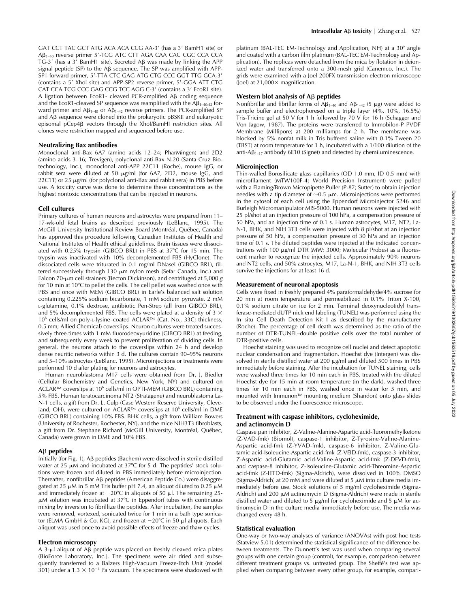GAT CCT TAC GCT ATG ACA ACA CCG AA-3' (has a 3' BamH1 site) or Aβ<sub>1–40</sub> reverse primer 5'-TCG ATC CTT AGA CAA CAC CGC CCA CCA TG-3' (has a 3' BamH1 site). Secreted A $\beta$  was made by linking the APP signal peptide (SP) to the A $\beta$  sequence. The SP was amplified with APP-SP1 forward primer, 5'-TTA CTC GAG ATG CTG CCC GGT TTG GCA-3' (contains a 5' XhoI site) and APP-SP2 reverse primer, 5'-GGA ATT CTG CAT CCA TCG CCC GAG CCG TCC AGG C-3' (contains a 3' EcoR1 site). A ligation between EcoR1- cleaved PCR-amplified A $\beta$  coding sequence and the EcoR1-cleaved SP sequence was reamplified with the A $\beta_{1\rightarrow0/42}$  forward primer and A $\beta_{1\!-\!40}$  or A $\beta_{1\!-\!42}$  reverse primers. The PCR-amplified SP and Aβ sequence were cloned into the prokaryotic pBSKII and eukaryotic episomal pCep4ß vectors through the XhoI/BamHI restriction sites. All clones were restriction mapped and sequenced before use.

#### **Neutralizing Bax antibodies**

Monoclonal anti-Bax 6A7 (amino acids 12–24; PharMingen) and 2D2 (amino acids 3–16; Trevigen), polyclonal anti-Bax N-20 (Santa Cruz Biotechnology, Inc.), monoclonal anti-APP 22C11 (Roche), mouse IgG, or rabbit sera were diluted at 50  $\mu$ g/ml (for 6A7, 2D2, mouse IgG, and  $22C11$ ) or  $25 \mu g/ml$  (for polyclonal anti-Bax and rabbit sera) in PBS before use. A toxicity curve was done to determine these concentrations as the highest nontoxic concentrations that can be injected in neurons.

#### **Cell cultures**

Primary cultures of human neurons and astrocytes were prepared from 11– 17-wk-old fetal brains as described previously (LeBlanc, 1995). The McGill University Institutional Review Board (Montréal, Québec, Canada) has approved this procedure following Canadian Institutes of Health and National Institutes of Health ethical guidelines. Brain tissues were dissociated with 0.25% trypsin (GIBCO BRL) in PBS at 37°C for 15 min. The trypsin was inactivated with 10% decomplemented FBS (HyClone). The dissociated cells were triturated in 0.1 mg/ml DNaseI (GIBCO BRL), filtered successively through 130  $\mu$ m nylon mesh (Sefar Canada, Inc.) and Falcon 70-m cell strainers (Becton Dickinson), and centrifuged at 5,000 *g* for 10 min at 10°C to pellet the cells. The cell pellet was washed once with PBS and once with MEM (GIBCO BRL) in Earle's balanced salt solution containing 0.225% sodium bicarbonate, 1 mM sodium pyruvate, 2 mM L-glutamine, 0.1% dextrose, antibiotic Pen-Strep (all from GIBCO BRL), and 5% decomplemented FBS. The cells were plated at a density of 3  $\times$ 106 cells/ml on poly-L-lysine–coated ACLAR™ (Cat. No., 33C; thickness, 0.5 mm; Allied Chemical) coverslips. Neuron cultures were treated successively three times with 1 mM fluorodeoxyuridine (GIBCO BRL) at feeding, and subsequently every week to prevent proliferation of dividing cells. In general, the neurons attach to the coverslips within 24 h and develop dense neuritic networks within 3 d. The cultures contain 90–95% neurons and 5–10% astrocytes (LeBlanc, 1995). Microinjections or treatments were performed 10 d after plating for neurons and astrocytes.

Human neuroblastoma M17 cells were obtained from Dr. J. Biedler (Cellular Biochemistry and Genetics, New York, NY) and cultured on ACLAR™ coverslips at 10<sup>6</sup> cells/ml in OPTI-MEM (GIBCO BRL) containing 5% FBS. Human teratocarcinoma NT2 (Stratagene) and neuroblastoma La-N-1 cells, a gift from Dr. L. Culp (Case Western Reserve University, Cleveland, OH), were cultured on ACLAR™ coverslips at 10<sup>6</sup> cells/ml in DME (GIBCO BRL) containing 10% FBS. BHK cells, a gift from William Bowers (University of Rochester, Rochester, NY), and the mice NIH3T3 fibroblasts, a gift from Dr. Stephane Richard (McGill University, Montréal, Québec, Canada) were grown in DME and 10% FBS.

#### **A**- **peptides**

Initially (for Fig. 1), Aβ peptides (Bachem) were dissolved in sterile distilled water at 25  $\mu$ M and incubated at 37°C for 5 d. The peptides' stock solutions were frozen and diluted in PBS immediately before microinjection. Thereafter, nonfibrillar Aβ peptides (American Peptide Co.) were disaggregated at 25  $\mu$ M in 5 mM Tris buffer pH 7.4, an aliquot diluted to 0.25  $\mu$ M and immediately frozen at  $-20^{\circ}$ C in aliquots of 50  $\mu$ l. The remaining 25- $\mu$ M solution was incubated at 37°C in Eppendorf tubes with continuous mixing by inversion to fibrillize the peptides. After incubation, the samples were removed, vortexed, sonicated twice for 1 min in a bath type sonicator (ELMA GmbH & Co. KG), and frozen at  $-20^{\circ}$ C in 50 µl aliquots. Each aliquot was used once to avoid possible effects of freeze and thaw cycles.

#### **Electron microscopy**

A 3- $\mu$ l aliquot of Aβ peptide was placed on freshly cleaved mica plates (BioForce Laboratory, Inc.). The specimens were air dried and subsequently transferred to a Balzers High-Vacuum Freeze-Etch Unit (model 301) under a  $1.3 \times 10^{-4}$  Pa vacuum. The specimens were shadowed with

platinum (BAL-TEC EM-Technology and Application, NH) at a 30 angle and coated with a carbon film platinum (BAL-TEC EM-Technology and Application). The replicas were detached from the mica by flotation in deionized water and transferred onto a 300-mesh grid (Canemco, Inc.). The grids were examined with a Joel 200FX transmission electron microscope (Joel) at  $21,000 \times$  magnification.

#### **Western blot analysis of A**- **peptides**

Nonfibrillar and fibrillar forms of  $A\beta_{1-40}$  and  $A\beta_{1-42}$  (5  $\mu$ g) were added to sample buffer and electrophoresed on a triple layer (4%, 10%, 16.5%) Tris-Tricine gel at 50 V for 1 h followed by 70 V for 16 h (Schagger and Von Jagow, 1987). The proteins were transferred to Immobilon-P PVDF Membrane (Millipore) at 200 milliamps for 2 h. The membrane was blocked by 5% nonfat milk in Tris buffered saline with 0.1% Tween 20 (TBST) at room temperature for 1 h, incubated with a 1/100 dilution of the anti-A $\beta_{1-17}$  antibody 6E10 (Signet) and detected by chemiluminescence.

## **Microinjection**

Thin-walled Borosilicate glass capillaries (OD 1.0 mm, ID 0.5 mm) with microfilament (MTW100F-4; World Precision Instrument) were pulled with a Flaming/Brown Micropipette Puller (P-87; Sutter) to obtain injection needles with a tip diameter of  $\sim$ 0.5 µm. Microinjections were performed in the cytosol of each cell using the Eppendorf Microinjector 5246 and Burleigh Micromanipulator MIS-5000. Human neurons were injected with 25 pl/shot at an injection pressure of 100 hPa, a compensation pressure of 50 hPa, and an injection time of 0.1 s. Human astrocytes, M17, NT2, La-N-1, BHK, and NIH 3T3 cells were injected with 8 pl/shot at an injection pressure of 50 hPa, a compensation pressure of 30 hPa and an injection time of 0.1 s. The diluted peptides were injected at the indicated concentrations with 100  $\mu$ g/ml DTR (MW: 3000; Molecular Probes) as a fluorescent marker to recognize the injected cells. Approximately 90% neurons and NT2 cells, and 50% astrocytes, M17, La-N-1, BHK, and NIH 3T3 cells survive the injections for at least 16 d.

#### **Measurement of neuronal apoptosis**

Cells were fixed in freshly prepared 4% paraformaldehyde/4% sucrose for 20 min at room temperature and permeabilized in 0.1% Triton X-100, 0.1% sodium citrate on ice for 2 min. Terminal deoxynucleotidyl transferase-mediated dUTP nick end labeling (TUNEL) was performed using the In situ Cell Death Detection Kit I as described by the manufacturer (Roche). The percentage of cell death was determined as the ratio of the number of DTR-TUNEL–double positive cells over the total number of DTR-positive cells.

Hoechst staining was used to recognize cell nuclei and detect apoptotic nuclear condensation and fragmentation. Hoechst dye (Intergen) was dissolved in sterile distilled water at 200  $\mu$ g/ml and diluted 500 times in PBS immediately before staining. After the incubation for TUNEL staining, cells were washed three times for 10 min each in PBS, treated with the diluted Hoechst dye for 15 min at room temperature (in the dark), washed three times for 10 min each in PBS, washed once in water for 5 min, and mounted with Immunon™ mounting medium (Shandon) onto glass slides to be observed under the fluorescence microscope.

#### **Treatment with caspase inhibitors, cycloheximide, and actinomycin D**

Caspase pan inhibitor, Z-Valine-Alanine-Aspartic acid-fluoromethylketone (Z-VAD-fmk) (Biomol), caspase-1 inhibitor, Z-Tyrosine-Valine-Alanine-Aspartic acid-fmk (Z-YVAD-fmk), caspase-6 inhibitor, Z-Valine-Glutamic acid-Isoleucine-Aspartic acid-fmk (Z-VEID-fmk), caspase-3 inhibitor, Z-Aspartic acid-Glutamic acid-Valine-Aspartic acid-fmk (Z-DEVD-fmk), and caspase-8 inhibitor, Z-Isoleucine-Glutamic acid-Threomine-Aspartic acid-fmk (Z-IETD-fmk) (Sigma-Aldrich), were dissolved in 100% DMSO (Sigma-Aldrich) at 20 mM and were diluted at 5  $\mu$ M into culture media immediately before use. Stock solutions of 5 mg/ml cycloheximide (Sigma-Aldrich) and 200 µM actinomycin D (Sigma-Aldrich) were made in sterile distilled water and diluted to 5  $\mu$ g/ml for cycloheximide and 5  $\mu$ M for actinomycin D in the culture media immediately before use. The media was changed every 48 h.

## **Statistical evaluation**

One-way or two-way analyses of variance (ANOVAs) with post hoc tests (Statview 5.01) determined the statistical significance of the difference between treatments. The Dunnett's test was used when comparing several groups with one certain group (control), for example, comparison between different treatment groups vs. untreated group. The Sheffé's test was applied when comparing between every other group, for example, compari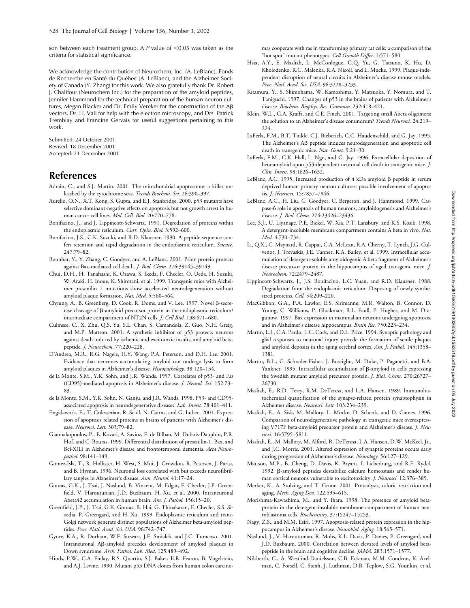son between each treatment group. A  $P$  value of  $\leq 0.05$  was taken as the criteria for statistical significance.

We acknowledge the contribution of Neurochem, Inc. (A. LeBlanc), Fonds de Recherche en Santé du Québec (A. LeBlanc), and the Alzheimer Society of Canada (Y. Zhang) for this work. We also gratefully thank Dr. Robert J. Chalifour (Neurochem Inc.) for the preparation of the amyloid peptides, Jennifer Hammond for the technical preparation of the human neuron cultures, Megan Blacker and Dr. Emily Vereker for the construction of the Aß vectors, Dr. H. Vali for help with the electron microscopy, and Drs. Patrick Tremblay and Francine Gervais for useful suggestions pertaining to this work.

Submitted: 24 October 2001 Revised: 18 December 2001 Accepted: 21 December 2001

# **References**

- Adrain, C., and S.J. Martin. 2001. The mitochondrial apoptosome: a killer unleashed by the cytochrome seas. *Trends Biochem. Sci.* 26:390–397.
- Aurelio, O.N., X.T. Kong, S. Gupta, and E.J. Stanbridge. 2000. p53 mutants have selective dominant-negative effects on apoptosis but not growth arrest in human cancer cell lines. *Mol. Cell. Biol.* 20:770–778.
- Bonifacino, J., and J. Lippincott-Schwartz. 1991. Degredation of proteins within the endoplasmic reticulum. *Curr. Opin. Biol.* 3:592–600.
- Bonifacino, J.S., C.K. Suzuki, and R.D. Klausner. 1990. A peptide sequence confers retention and rapid degradation in the endoplasmic reticulum. *Science.* 247:79–82.
- Bounhar, Y., Y. Zhang, C. Goodyer, and A. LeBlanc. 2001. Prion protein protects against Bax-mediated cell death. *J. Biol. Chem.* 276:39145–39149.
- Chui, D.H., H. Tanahashi, K. Ozawa, S. Ikeda, F. Checler, O. Ueda, H. Suzuki, W. Araki, H. Inoue, K. Shirotani, et al. 1999. Transgenic mice with Alzheimer presenilin 1 mutations show accelerated neurodegeneration without amyloid plaque formation. *Nat. Med.* 5:560–564.
- Chyung, A., B. Greenberg, D. Cook, R. Doms, and V. Lee. 1997. Novel  $\beta$ -secretase cleavage of  $\beta$ -amyloid precursor protein in the endoplasmic reticulum/ intermediate compartment of NT2N cells. *J. Cell Biol.* 138:671–680.
- Culmsee, C., X. Zhu, Q.S. Yu, S.L. Chan, S. Camandola, Z. Guo, N.H. Greig, and M.P. Mattson. 2001. A synthetic inhibitor of p53 protects neurons against death induced by ischemic and excitotoxic insults, and amyloid betapeptide. *J. Neurochem*. 77:220–228.
- D'Andrea, M.R., R.G. Nagele, H.Y. Wang, P.A. Peterson, and D.H. Lee. 2001. Evidence that neurones accumulating amyloid can undergo lysis to form amyloid plaques in Alzheimer's disease. *Histopathology.* 38:120–134.
- de la Monte, S.M., Y.K. Sohn, and J.R. Wands. 1997. Correlates of p53- and Fas (CD95)-mediated apoptosis in Alzheimer's disease. *J. Neurol. Sci.* 152:73– 83.
- de la Monte, S.M., Y.K. Sohn, N. Ganju, and J.R. Wands. 1998. P53- and CD95 associated apoptosis in neurodegenerative diseases. *Lab. Invest.* 78:401–411.
- Engidawork, E., T. Gulesserian, R. Seidl, N. Cairns, and G. Lubec. 2001. Expression of apoptosis related proteins in brains of patients with Alzheimer's disease. *Neurosci. Lett.* 303:79–82.
- Giannakopoulos, P., E. Kovari, A. Savioz, F. de Bilbao, M. Dubois-Dauphin, P.R. Hof, and C. Bouras. 1999. Differential distribution of presenilin-1, Bax, and Bcl-X(L) in Alzheimer's disease and frontotemporal dementia. *Acta Neuropathol.* 98:141–149.
- Gomez-Isla, T., R. Hollister, H. West, S. Mui, J. Growdon, R. Petersen, J. Parisi, and B. Hyman. 1996. Neuronal loss correlated with but exceeds neurofibrillary tangles in Alzheimer's disease. *Ann. Neurol.* 41:17–24.
- Gouras, G.K., J. Tsai, J. Naslund, B. Vincent, M. Edgar, F. Checler, J.P. Greenfield, V. Haroutunian, J.D. Buxbaum, H. Xu, et al. 2000. Intraneuronal Abeta42 accumulation in human brain. *Am. J. Pathol.* 156:15–20.
- Greenfield, J.P., J. Tsai, G.K. Gouras, B. Hai, G. Thinakaran, F. Checler, S.S. Sisodia, P. Greengard, and H. Xu. 1999. Endoplasmic reticulum and trans-Golgi network generate distinct populations of Alzheimer beta-amyloid peptides. *Proc. Natl. Acad. Sci. USA.* 96:742–747.
- Gyure, K.A., R. Durham, W.F. Stewart, J.E. Smialek, and J.C. Troncoso. 2001. Intraneuronal Aß-amyloid precedes development of amyloid plaques in Down syndrome. *Arch. Pathol. Lab. Med.* 125:489–492.
- Hinds, P.W., C.A. Finlay, R.S. Quartin, S.J. Baker, E.R. Fearon, B. Vogelstein, and A.J. Levine. 1990. Mutant p53 DNA clones from human colon carcino-

mas cooperate with ras in transforming primary rat cells: a comparison of the "hot spot" mutant phenotypes. *Cell Growth Differ.* 1:571–580.

- Hsia, A.Y., E. Masliah, L. McConlogue, G.Q. Yu, G. Tatsuno, K. Hu, D. Kholodenko, R.C. Malenka, R.A. Nicoll, and L. Mucke. 1999. Plaque-independent disruption of neural circuits in Alzheimer's disease mouse models. *Proc. Natl. Acad. Sci. USA*. 96:3228–3233.
- Kitamura, Y., S. Shimohama, W. Kamoshima, Y. Matsuoka, Y. Nomura, and T. Taniguchi. 1997. Changes of p53 in the brains of patients with Alzheimer's disease. *Biochem. Biophys. Res. Commun.* 232:418–421.
- Klein, W.L., G.A. Krafft, and C.E. Finch. 2001. Targeting small Abeta oligomers: the solution to an Alzheimer's disease conundrum? *Trends Neurosci.* 24:219– 224.
- LaFerla, F.M., B.T. Tinkle, C.J. Bieberich, C.C. Haudenschild, and G. Jay. 1995. The Alzheimer's Aß peptide induces neurodegeneration and apoptotic cell death in transgenic mice. *Nat. Genet.* 9:21–30.
- LaFerla, F.M., C.K. Hall, L. Ngo, and G. Jay. 1996. Extracellular deposition of beta-amyloid upon p53-dependent neuronal cell death in transgenic mice. *J. Clin. Invest.* 98:1626–1632.
- LeBlanc, A.C. 1995. Increased production of  $4\text{ kDa}$  amyloid  $\beta$  peptide in serum deprived human primary neuron cultures: possible involvement of apoptosis. *J. Neurosci.* 15:7837–7846.
- LeBlanc, A.C., H. Liu, C. Goodyer, C. Bergeron, and J. Hammond. 1999. Caspase-6 role in apoptosis of human neurons, amyloidogenesis and Alzheimer's disease. *J. Biol. Chem.* 274:23426–23436.
- Lee, S.J., U. Liyanage, P.E. Bickel, W. Xia, P.T. Lansbury, and K.S. Kosik. 1998. A detergent-insoluble membrane compartment contains A beta in vivo. *Nat. Med.* 4:730–734.
- Li, Q.X., C. Maynard, R. Cappai, C.A. McLean, R.A. Cherny, T. Lynch, J.G. Culvenor, J. Trevaskis, J.E. Tanner, K.A. Bailey, et al. 1999. Intracellular accumulation of detergent-soluble amyloidogenic A beta fragment of Alzheimer's disease precursor protein in the hippocampus of aged transgenic mice. *J. Neurochem.* 72:2479–2487.
- Lippincott-Schwartz, J., J.S. Bonifacino, L.C. Yuan, and R.D. Klausner. 1988. Degradation from the endoplasmic reticulum: Disposing of newly synthesized proteins. *Cell.* 54:209–220.
- MacGibbon, G.A., P.A. Lawlor, E.S. Sirimanne, M.R. Walton, B. Connor, D. Young, C. Williams, P. Gluckman, R.L. Faull, P. Hughes, and M. Dragunow. 1997. Bax expression in mammalian neurons undergoing apoptosis, and in Alzheimer's disease hippocampus. *Brain Res.* 750:223–234.
- Martin, L.J., C.A. Pardo, L.C. Cork, and D.L. Price. 1994. Synaptic pathology and glial responses to neuronal injury precede the formation of senile plaques and amyloid deposits in the aging cerebral cortex. *Am. J. Pathol.* 145:1358– 1381.
- Martin, B.L., G. Schrader-Fisher, J. Busciglio, M. Duke, P. Paganetti, and B.A. Yankner. 1995. Intracellular accumulation of β-amyloid in cells expressing the Swedish mutant amyloid precursor protein. *J. Biol. Chem.* 270:26727– 26730.
- Masliah, E., R.D. Terry, R.M. DeTeresa, and L.A. Hansen. 1989. Immunohistochemical quantification of the synapse-related protein synaptophysin in Alzheimer disease. *Neurosci. Lett.* 103:234–239.
- Masliah, E., A. Sisk, M. Mallory, L. Mucke, D. Schenk, and D. Games. 1996. Comparison of neurodegenerative pathology in transgenic mice overexpressing V717F beta-amyloid precursor protein and Alzheimer's disease. *J. Neurosci.* 16:5795–5811.
- Masliah, E., M. Mallory, M. Alford, R. DeTeresa, L.A. Hansen, D.W. McKeel, Jr., and J.C. Morris. 2001. Altered expression of synaptic proteins occurs early during progression of Alzheimer's disease. *Neurology.* 56:127–129.
- Mattson, M.P., B. Cheng, D. Davis, K. Bryant, I. Lieberburg, and R.E. Rydel. 1992. B-amyloid peptides destabilize calcium homeostasis and render human cortical neurons vulnerable to excitotoxicity. *J. Neurosci.* 12:376–389.
- Merker, K., A. Stolzing, and T. Grune. 2001. Proteolysis, caloric restriction and aging. *Mech. Aging Dev.* 122:595–615.
- Morishima-Kawashima, M., and Y. Ihara. 1998. The presence of amyloid betaprotein in the detergent-insoluble membrane compartment of human neuroblastoma cells. *Biochemistry.* 37:15247–15253.
- Nagy, Z.S., and M.M. Esiri. 1997. Apoptosis-related protein expression in the hippocampus in Alzheimer's disease. *Neurobiol. Aging.* 18:565–571.
- Naslund, J., V. Haroutunian, R. Mohs, K.L. Davis, P. Davies, P. Greengard, and J.D. Buxbaum. 2000. Correlation between elevated levels of amyloid betapeptide in the brain and cognitive decline. *JAMA.* 283:1571–1577.
- Nilsberth, C., A. Westlind-Danielsson, C.B. Eckman, M.M. Condron, K. Axelman, C. Forsell, C. Stenh, J. Luthman, D.B. Teplow, S.G. Younkin, et al.